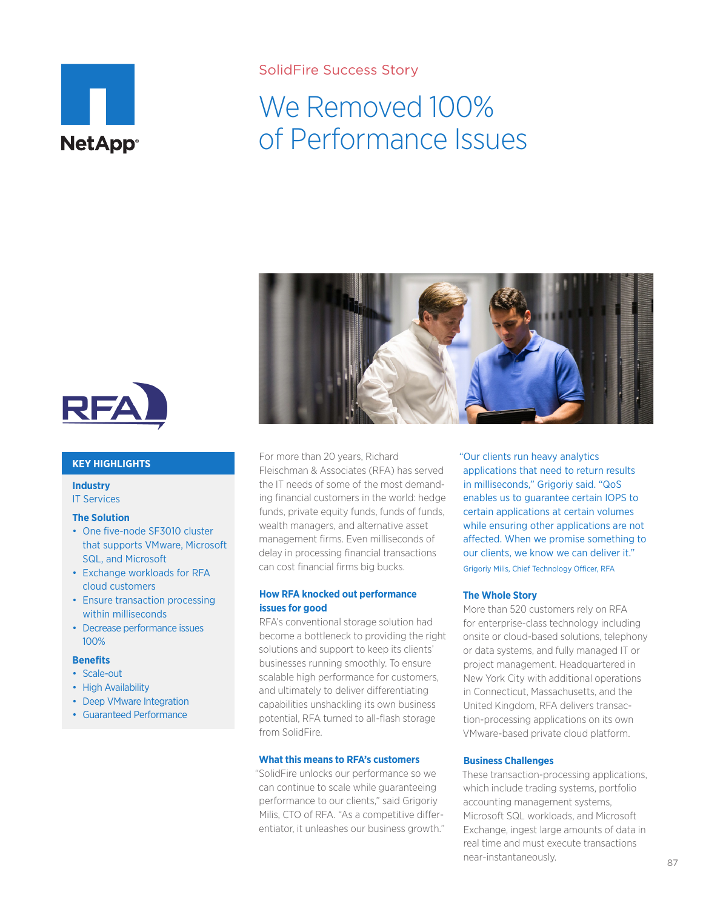

### SolidFire Success Story

# We Removed 100% of Performance Issues



#### **KEY HIGHLIGHTS**

**Industry** IT Services

#### **The Solution**

- One five-node SF3010 cluster that supports VMware, Microsoft SQL, and Microsoft
- Exchange workloads for RFA cloud customers
- Ensure transaction processing within milliseconds
- Decrease performance issues 100%

#### **Benefits**

- Scale-out
- High Availability
- Deep VMware Integration
- Guaranteed Performance



For more than 20 years, Richard Fleischman & Associates (RFA) has served the IT needs of some of the most demanding financial customers in the world: hedge funds, private equity funds, funds of funds, wealth managers, and alternative asset management firms. Even milliseconds of delay in processing financial transactions can cost financial firms big bucks.

### **How RFA knocked out performance issues for good**

RFA's conventional storage solution had become a bottleneck to providing the right solutions and support to keep its clients' businesses running smoothly. To ensure scalable high performance for customers, and ultimately to deliver differentiating capabilities unshackling its own business potential, RFA turned to all-flash storage from SolidFire.

### **What this means to RFA's customers**

"SolidFire unlocks our performance so we can continue to scale while guaranteeing performance to our clients," said Grigoriy Milis, CTO of RFA. "As a competitive differentiator, it unleashes our business growth." "Our clients run heavy analytics applications that need to return results in milliseconds," Grigoriy said. "QoS enables us to guarantee certain IOPS to certain applications at certain volumes while ensuring other applications are not affected. When we promise something to our clients, we know we can deliver it." Grigoriy Milis, Chief Technology Officer, RFA

#### **The Whole Story**

More than 520 customers rely on RFA for enterprise-class technology including onsite or cloud-based solutions, telephony or data systems, and fully managed IT or project management. Headquartered in New York City with additional operations in Connecticut, Massachusetts, and the United Kingdom, RFA delivers transaction-processing applications on its own VMware-based private cloud platform.

#### **Business Challenges**

These transaction-processing applications, which include trading systems, portfolio accounting management systems, Microsoft SQL workloads, and Microsoft Exchange, ingest large amounts of data in real time and must execute transactions near-instantaneously.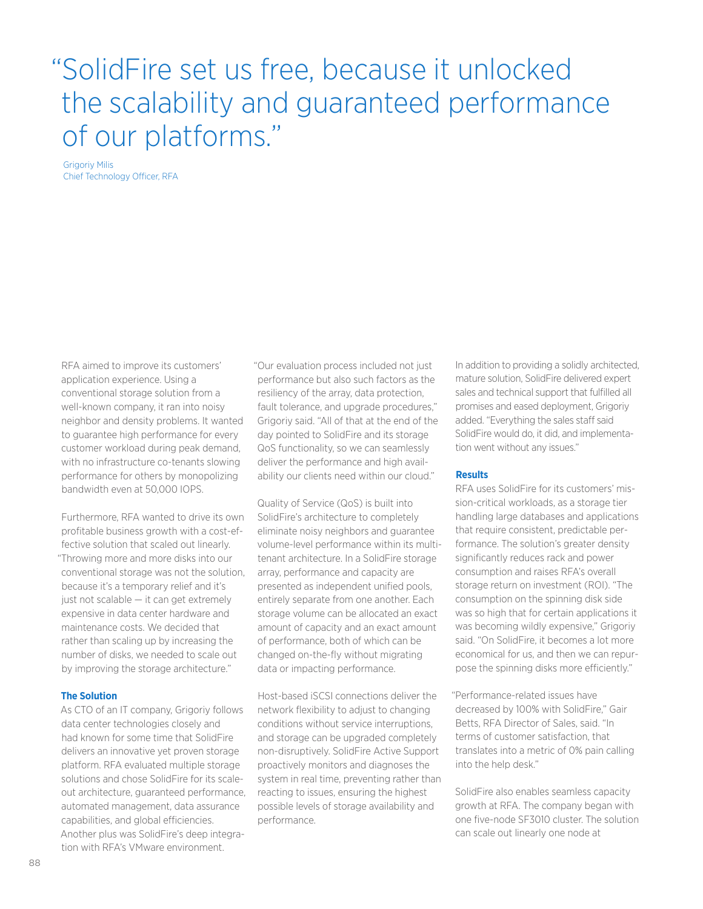## "SolidFire set us free, because it unlocked the scalability and guaranteed performance of our platforms."

Grigoriy Milis Chief Technology Officer, RFA

RFA aimed to improve its customers' application experience. Using a conventional storage solution from a well-known company, it ran into noisy neighbor and density problems. It wanted to guarantee high performance for every customer workload during peak demand, with no infrastructure co-tenants slowing performance for others by monopolizing bandwidth even at 50,000 IOPS.

Furthermore, RFA wanted to drive its own profitable business growth with a cost-effective solution that scaled out linearly. "Throwing more and more disks into our conventional storage was not the solution, because it's a temporary relief and it's just not scalable — it can get extremely expensive in data center hardware and maintenance costs. We decided that rather than scaling up by increasing the number of disks, we needed to scale out by improving the storage architecture."

#### **The Solution**

As CTO of an IT company, Grigoriy follows data center technologies closely and had known for some time that SolidFire delivers an innovative yet proven storage platform. RFA evaluated multiple storage solutions and chose SolidFire for its scaleout architecture, guaranteed performance, automated management, data assurance capabilities, and global efficiencies. Another plus was SolidFire's deep integration with RFA's VMware environment.

"Our evaluation process included not just performance but also such factors as the resiliency of the array, data protection, fault tolerance, and upgrade procedures," Grigoriy said. "All of that at the end of the day pointed to SolidFire and its storage QoS functionality, so we can seamlessly deliver the performance and high availability our clients need within our cloud."

Quality of Service (QoS) is built into SolidFire's architecture to completely eliminate noisy neighbors and guarantee volume-level performance within its multitenant architecture. In a SolidFire storage array, performance and capacity are presented as independent unified pools, entirely separate from one another. Each storage volume can be allocated an exact amount of capacity and an exact amount of performance, both of which can be changed on-the-fly without migrating data or impacting performance.

Host-based iSCSI connections deliver the network flexibility to adjust to changing conditions without service interruptions, and storage can be upgraded completely non-disruptively. SolidFire Active Support proactively monitors and diagnoses the system in real time, preventing rather than reacting to issues, ensuring the highest possible levels of storage availability and performance.

In addition to providing a solidly architected, mature solution, SolidFire delivered expert sales and technical support that fulfilled all promises and eased deployment, Grigoriy added. "Everything the sales staff said SolidFire would do, it did, and implementation went without any issues."

#### **Results**

RFA uses SolidFire for its customers' mission-critical workloads, as a storage tier handling large databases and applications that require consistent, predictable performance. The solution's greater density significantly reduces rack and power consumption and raises RFA's overall storage return on investment (ROI). "The consumption on the spinning disk side was so high that for certain applications it was becoming wildly expensive," Grigoriy said. "On SolidFire, it becomes a lot more economical for us, and then we can repurpose the spinning disks more efficiently."

"Performance-related issues have decreased by 100% with SolidFire," Gair Betts, RFA Director of Sales, said. "In terms of customer satisfaction, that translates into a metric of 0% pain calling into the help desk."

SolidFire also enables seamless capacity growth at RFA. The company began with one five-node SF3010 cluster. The solution can scale out linearly one node at